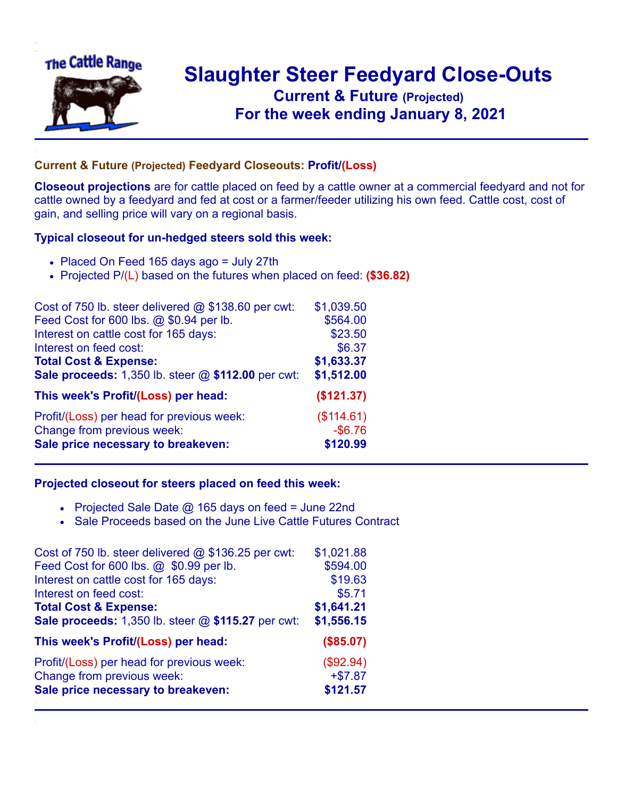

## **Slaughter Steer Feedyard Close-Outs Current & Future (Projected)** .**For the week ending January 8, 2021**

## **Current & Future (Projected) Feedyard Closeouts: Profit/(Loss)**

**Closeout projections** are for cattle placed on feed by a cattle owner at a commercial feedyard and not for cattle owned by a feedyard and fed at cost or a farmer/feeder utilizing his own feed. Cattle cost, cost of gain, and selling price will vary on a regional basis.

## **Typical closeout for un-hedged steers sold this week:**

- Placed On Feed 165 days ago = July 27th
- Projected P/(L) based on the futures when placed on feed: **(\$36.82)**

| Cost of 750 lb. steer delivered $@$ \$138.60 per cwt: | \$1,039.50 |
|-------------------------------------------------------|------------|
| Feed Cost for 600 lbs. @ \$0.94 per lb.               | \$564.00   |
| Interest on cattle cost for 165 days:                 | \$23.50    |
| Interest on feed cost:                                | \$6.37     |
| <b>Total Cost &amp; Expense:</b>                      | \$1,633.37 |
| Sale proceeds: 1,350 lb. steer @ \$112.00 per cwt:    | \$1,512.00 |
| This week's Profit/(Loss) per head:                   | (\$121.37) |
| Profit/(Loss) per head for previous week:             | (\$114.61) |
| Change from previous week:                            | $-$6.76$   |
| Sale price necessary to breakeven:                    | \$120.99   |

## **Projected closeout for steers placed on feed this week:**

- Projected Sale Date  $@$  165 days on feed = June 22nd
- Sale Proceeds based on the June Live Cattle Futures Contract

| Cost of 750 lb. steer delivered $@$ \$136.25 per cwt: | \$1,021.88 |
|-------------------------------------------------------|------------|
| Feed Cost for 600 lbs. @ \$0.99 per lb.               | \$594.00   |
| Interest on cattle cost for 165 days:                 | \$19.63    |
| Interest on feed cost:                                | \$5.71     |
| <b>Total Cost &amp; Expense:</b>                      | \$1,641.21 |
| Sale proceeds: 1,350 lb. steer @ \$115.27 per cwt:    | \$1,556.15 |
| This week's Profit/(Loss) per head:                   | (\$85.07)  |
| Profit/(Loss) per head for previous week:             | (\$92.94)  |
| Change from previous week:                            | $+ $7.87$  |
| Sale price necessary to breakeven:                    | \$121.57   |